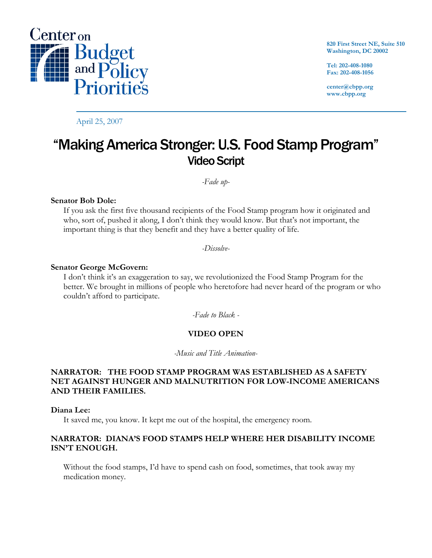

April 25, 2007

**820 First Street NE, Suite 510 Washington, DC 20002** 

**Tel: 202-408-1080 Fax: 202-408-1056** 

**center@cbpp.org www.cbpp.org** 

# "Making America Stronger: U.S. Food Stamp Program" Video Script

*-Fade up-*

### **Senator Bob Dole:**

If you ask the first five thousand recipients of the Food Stamp program how it originated and who, sort of, pushed it along, I don't think they would know. But that's not important, the important thing is that they benefit and they have a better quality of life.

*-Dissolve-*

#### **Senator George McGovern:**

I don't think it's an exaggeration to say, we revolutionized the Food Stamp Program for the better. We brought in millions of people who heretofore had never heard of the program or who couldn't afford to participate.

*-Fade to Black -* 

# **VIDEO OPEN**

*-Music and Title Animation-*

# **NARRATOR: THE FOOD STAMP PROGRAM WAS ESTABLISHED AS A SAFETY NET AGAINST HUNGER AND MALNUTRITION FOR LOW-INCOME AMERICANS AND THEIR FAMILIES.**

#### **Diana Lee:**

It saved me, you know. It kept me out of the hospital, the emergency room.

### **NARRATOR: DIANA'S FOOD STAMPS HELP WHERE HER DISABILITY INCOME ISN'T ENOUGH.**

Without the food stamps, I'd have to spend cash on food, sometimes, that took away my medication money.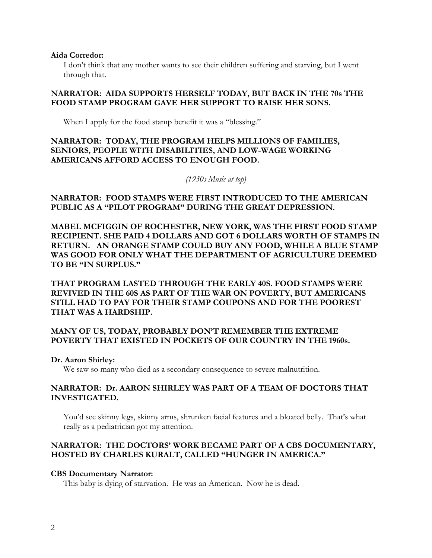#### **Aida Corredor:**

I don't think that any mother wants to see their children suffering and starving, but I went through that.

# **NARRATOR: AIDA SUPPORTS HERSELF TODAY, BUT BACK IN THE 70s THE FOOD STAMP PROGRAM GAVE HER SUPPORT TO RAISE HER SONS.**

When I apply for the food stamp benefit it was a "blessing."

# **NARRATOR: TODAY, THE PROGRAM HELPS MILLIONS OF FAMILIES, SENIORS, PEOPLE WITH DISABILITIES, AND LOW-WAGE WORKING AMERICANS AFFORD ACCESS TO ENOUGH FOOD.**

#### *(1930s Music at top)*

# **NARRATOR: FOOD STAMPS WERE FIRST INTRODUCED TO THE AMERICAN PUBLIC AS A "PILOT PROGRAM" DURING THE GREAT DEPRESSION.**

**MABEL MCFIGGIN OF ROCHESTER, NEW YORK, WAS THE FIRST FOOD STAMP RECIPIENT. SHE PAID 4 DOLLARS AND GOT 6 DOLLARS WORTH OF STAMPS IN RETURN. AN ORANGE STAMP COULD BUY ANY FOOD, WHILE A BLUE STAMP WAS GOOD FOR ONLY WHAT THE DEPARTMENT OF AGRICULTURE DEEMED TO BE "IN SURPLUS."** 

**THAT PROGRAM LASTED THROUGH THE EARLY 40S. FOOD STAMPS WERE REVIVED IN THE 60S AS PART OF THE WAR ON POVERTY, BUT AMERICANS STILL HAD TO PAY FOR THEIR STAMP COUPONS AND FOR THE POOREST THAT WAS A HARDSHIP.** 

# **MANY OF US, TODAY, PROBABLY DON'T REMEMBER THE EXTREME POVERTY THAT EXISTED IN POCKETS OF OUR COUNTRY IN THE 1960s.**

### **Dr. Aaron Shirley:**

We saw so many who died as a secondary consequence to severe malnutrition.

# **NARRATOR: Dr. AARON SHIRLEY WAS PART OF A TEAM OF DOCTORS THAT INVESTIGATED.**

You'd see skinny legs, skinny arms, shrunken facial features and a bloated belly. That's what really as a pediatrician got my attention.

# **NARRATOR: THE DOCTORS' WORK BECAME PART OF A CBS DOCUMENTARY, HOSTED BY CHARLES KURALT, CALLED "HUNGER IN AMERICA."**

### **CBS Documentary Narrator:**

This baby is dying of starvation. He was an American. Now he is dead.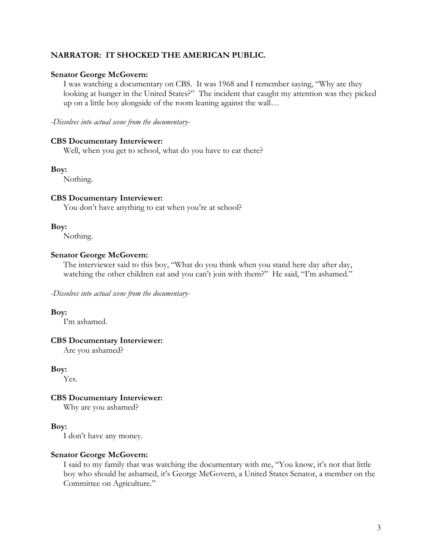# **NARRATOR: IT SHOCKED THE AMERICAN PUBLIC.**

#### **Senator George McGovern:**

I was watching a documentary on CBS. It was 1968 and I remember saying, "Why are they looking at hunger in the United States?" The incident that caught my attention was they picked up on a little boy alongside of the room leaning against the wall…

*-Dissolves into actual scene from the documentary-*

#### **CBS Documentary Interviewer:**

Well, when you get to school, what do you have to eat there?

#### **Boy:**

Nothing.

#### **CBS Documentary Interviewer:**

You don't have anything to eat when you're at school?

#### **Boy:**

Nothing.

#### **Senator George McGovern:**

The interviewer said to this boy, "What do you think when you stand here day after day, watching the other children eat and you can't join with them?" He said, "I'm ashamed."

*-Dissolves into actual scene from the documentary-*

#### **Boy:**

I'm ashamed.

### **CBS Documentary Interviewer:**

Are you ashamed?

#### **Boy:**

Yes.

#### **CBS Documentary Interviewer:**

Why are you ashamed?

### **Boy:**

I don't have any money.

#### **Senator George McGovern:**

I said to my family that was watching the documentary with me, "You know, it's not that little boy who should be ashamed, it's George McGovern, a United States Senator, a member on the Committee on Agriculture."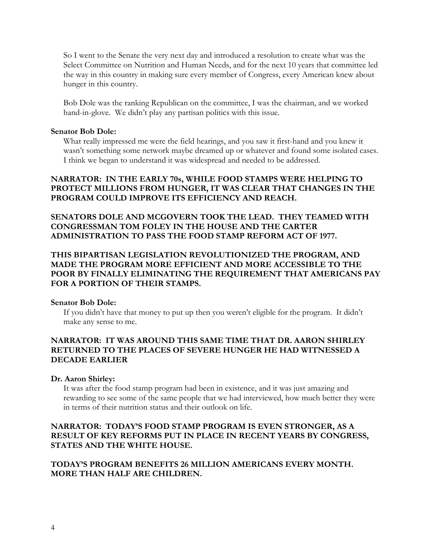So I went to the Senate the very next day and introduced a resolution to create what was the Select Committee on Nutrition and Human Needs, and for the next 10 years that committee led the way in this country in making sure every member of Congress, every American knew about hunger in this country.

Bob Dole was the ranking Republican on the committee, I was the chairman, and we worked hand-in-glove. We didn't play any partisan politics with this issue.

### **Senator Bob Dole:**

What really impressed me were the field hearings, and you saw it first-hand and you knew it wasn't something some network maybe dreamed up or whatever and found some isolated cases. I think we began to understand it was widespread and needed to be addressed.

# **NARRATOR: IN THE EARLY 70s, WHILE FOOD STAMPS WERE HELPING TO PROTECT MILLIONS FROM HUNGER, IT WAS CLEAR THAT CHANGES IN THE PROGRAM COULD IMPROVE ITS EFFICIENCY AND REACH.**

**SENATORS DOLE AND MCGOVERN TOOK THE LEAD. THEY TEAMED WITH CONGRESSMAN TOM FOLEY IN THE HOUSE AND THE CARTER ADMINISTRATION TO PASS THE FOOD STAMP REFORM ACT OF 1977.** 

# **THIS BIPARTISAN LEGISLATION REVOLUTIONIZED THE PROGRAM, AND MADE THE PROGRAM MORE EFFICIENT AND MORE ACCESSIBLE TO THE POOR BY FINALLY ELIMINATING THE REQUIREMENT THAT AMERICANS PAY FOR A PORTION OF THEIR STAMPS.**

### **Senator Bob Dole:**

If you didn't have that money to put up then you weren't eligible for the program. It didn't make any sense to me.

# **NARRATOR: IT WAS AROUND THIS SAME TIME THAT DR. AARON SHIRLEY RETURNED TO THE PLACES OF SEVERE HUNGER HE HAD WITNESSED A DECADE EARLIER**

#### **Dr. Aaron Shirley:**

It was after the food stamp program had been in existence, and it was just amazing and rewarding to see some of the same people that we had interviewed, how much better they were in terms of their nutrition status and their outlook on life.

# **NARRATOR: TODAY'S FOOD STAMP PROGRAM IS EVEN STRONGER, AS A RESULT OF KEY REFORMS PUT IN PLACE IN RECENT YEARS BY CONGRESS, STATES AND THE WHITE HOUSE.**

# **TODAY'S PROGRAM BENEFITS 26 MILLION AMERICANS EVERY MONTH. MORE THAN HALF ARE CHILDREN.**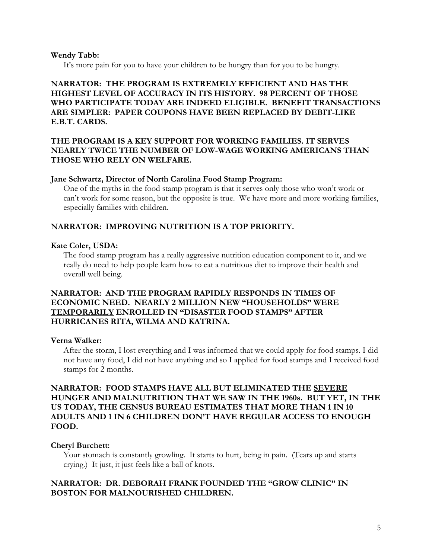#### **Wendy Tabb:**

It's more pain for you to have your children to be hungry than for you to be hungry.

# **NARRATOR: THE PROGRAM IS EXTREMELY EFFICIENT AND HAS THE HIGHEST LEVEL OF ACCURACY IN ITS HISTORY. 98 PERCENT OF THOSE WHO PARTICIPATE TODAY ARE INDEED ELIGIBLE. BENEFIT TRANSACTIONS ARE SIMPLER: PAPER COUPONS HAVE BEEN REPLACED BY DEBIT-LIKE E.B.T. CARDS.**

# **THE PROGRAM IS A KEY SUPPORT FOR WORKING FAMILIES. IT SERVES NEARLY TWICE THE NUMBER OF LOW-WAGE WORKING AMERICANS THAN THOSE WHO RELY ON WELFARE.**

#### **Jane Schwartz, Director of North Carolina Food Stamp Program:**

One of the myths in the food stamp program is that it serves only those who won't work or can't work for some reason, but the opposite is true. We have more and more working families, especially families with children.

# **NARRATOR: IMPROVING NUTRITION IS A TOP PRIORITY.**

#### **Kate Coler, USDA:**

The food stamp program has a really aggressive nutrition education component to it, and we really do need to help people learn how to eat a nutritious diet to improve their health and overall well being.

### **NARRATOR: AND THE PROGRAM RAPIDLY RESPONDS IN TIMES OF ECONOMIC NEED. NEARLY 2 MILLION NEW "HOUSEHOLDS" WERE TEMPORARILY ENROLLED IN "DISASTER FOOD STAMPS" AFTER HURRICANES RITA, WILMA AND KATRINA.**

#### **Verna Walker:**

After the storm, I lost everything and I was informed that we could apply for food stamps. I did not have any food, I did not have anything and so I applied for food stamps and I received food stamps for 2 months.

# **NARRATOR: FOOD STAMPS HAVE ALL BUT ELIMINATED THE SEVERE HUNGER AND MALNUTRITION THAT WE SAW IN THE 1960s. BUT YET, IN THE US TODAY, THE CENSUS BUREAU ESTIMATES THAT MORE THAN 1 IN 10 ADULTS AND 1 IN 6 CHILDREN DON'T HAVE REGULAR ACCESS TO ENOUGH FOOD.**

### **Cheryl Burchett:**

Your stomach is constantly growling. It starts to hurt, being in pain. (Tears up and starts crying.) It just, it just feels like a ball of knots.

### **NARRATOR: DR. DEBORAH FRANK FOUNDED THE "GROW CLINIC" IN BOSTON FOR MALNOURISHED CHILDREN.**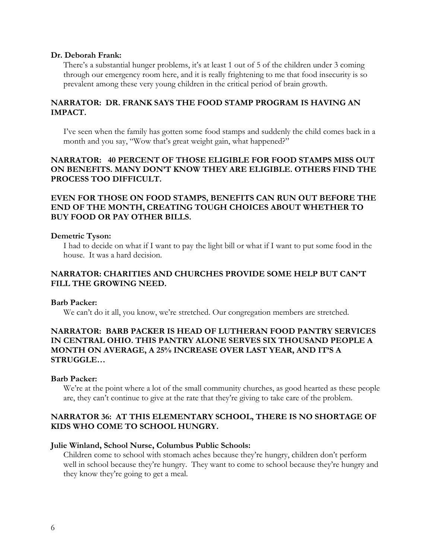#### **Dr. Deborah Frank:**

There's a substantial hunger problems, it's at least 1 out of 5 of the children under 3 coming through our emergency room here, and it is really frightening to me that food insecurity is so prevalent among these very young children in the critical period of brain growth.

# **NARRATOR: DR. FRANK SAYS THE FOOD STAMP PROGRAM IS HAVING AN IMPACT.**

I've seen when the family has gotten some food stamps and suddenly the child comes back in a month and you say, "Wow that's great weight gain, what happened?"

# **NARRATOR: 40 PERCENT OF THOSE ELIGIBLE FOR FOOD STAMPS MISS OUT ON BENEFITS. MANY DON'T KNOW THEY ARE ELIGIBLE. OTHERS FIND THE PROCESS TOO DIFFICULT.**

# **EVEN FOR THOSE ON FOOD STAMPS, BENEFITS CAN RUN OUT BEFORE THE END OF THE MONTH, CREATING TOUGH CHOICES ABOUT WHETHER TO BUY FOOD OR PAY OTHER BILLS.**

#### **Demetric Tyson:**

I had to decide on what if I want to pay the light bill or what if I want to put some food in the house. It was a hard decision.

### **NARRATOR: CHARITIES AND CHURCHES PROVIDE SOME HELP BUT CAN'T FILL THE GROWING NEED.**

#### **Barb Packer:**

We can't do it all, you know, we're stretched. Our congregation members are stretched.

# **NARRATOR: BARB PACKER IS HEAD OF LUTHERAN FOOD PANTRY SERVICES IN CENTRAL OHIO. THIS PANTRY ALONE SERVES SIX THOUSAND PEOPLE A MONTH ON AVERAGE, A 25% INCREASE OVER LAST YEAR, AND IT'S A STRUGGLE…**

#### **Barb Packer:**

We're at the point where a lot of the small community churches, as good hearted as these people are, they can't continue to give at the rate that they're giving to take care of the problem.

# **NARRATOR 36: AT THIS ELEMENTARY SCHOOL, THERE IS NO SHORTAGE OF KIDS WHO COME TO SCHOOL HUNGRY.**

#### **Julie Winland, School Nurse, Columbus Public Schools:**

Children come to school with stomach aches because they're hungry, children don't perform well in school because they're hungry. They want to come to school because they're hungry and they know they're going to get a meal.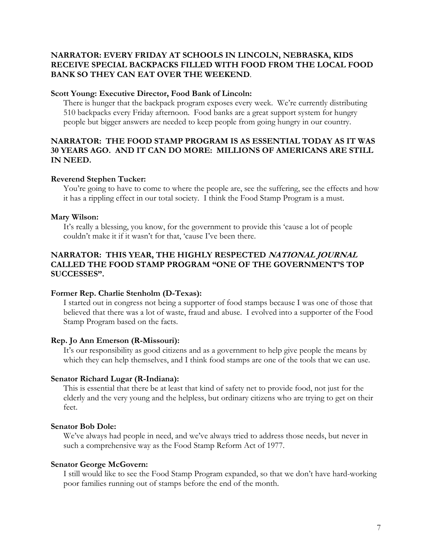# **NARRATOR: EVERY FRIDAY AT SCHOOLS IN LINCOLN, NEBRASKA, KIDS RECEIVE SPECIAL BACKPACKS FILLED WITH FOOD FROM THE LOCAL FOOD BANK SO THEY CAN EAT OVER THE WEEKEND**.

#### **Scott Young: Executive Director, Food Bank of Lincoln:**

There is hunger that the backpack program exposes every week. We're currently distributing 510 backpacks every Friday afternoon. Food banks are a great support system for hungry people but bigger answers are needed to keep people from going hungry in our country.

# **NARRATOR: THE FOOD STAMP PROGRAM IS AS ESSENTIAL TODAY AS IT WAS 30 YEARS AGO. AND IT CAN DO MORE: MILLIONS OF AMERICANS ARE STILL IN NEED.**

### **Reverend Stephen Tucker:**

You're going to have to come to where the people are, see the suffering, see the effects and how it has a rippling effect in our total society. I think the Food Stamp Program is a must.

### **Mary Wilson:**

It's really a blessing, you know, for the government to provide this 'cause a lot of people couldn't make it if it wasn't for that, 'cause I've been there.

# **NARRATOR: THIS YEAR, THE HIGHLY RESPECTED NATIONAL JOURNAL CALLED THE FOOD STAMP PROGRAM "ONE OF THE GOVERNMENT'S TOP SUCCESSES".**

#### **Former Rep. Charlie Stenholm (D-Texas):**

I started out in congress not being a supporter of food stamps because I was one of those that believed that there was a lot of waste, fraud and abuse. I evolved into a supporter of the Food Stamp Program based on the facts.

### **Rep. Jo Ann Emerson (R-Missouri):**

It's our responsibility as good citizens and as a government to help give people the means by which they can help themselves, and I think food stamps are one of the tools that we can use.

#### **Senator Richard Lugar (R-Indiana):**

This is essential that there be at least that kind of safety net to provide food, not just for the elderly and the very young and the helpless, but ordinary citizens who are trying to get on their feet.

### **Senator Bob Dole:**

We've always had people in need, and we've always tried to address those needs, but never in such a comprehensive way as the Food Stamp Reform Act of 1977.

### **Senator George McGovern:**

I still would like to see the Food Stamp Program expanded, so that we don't have hard-working poor families running out of stamps before the end of the month.